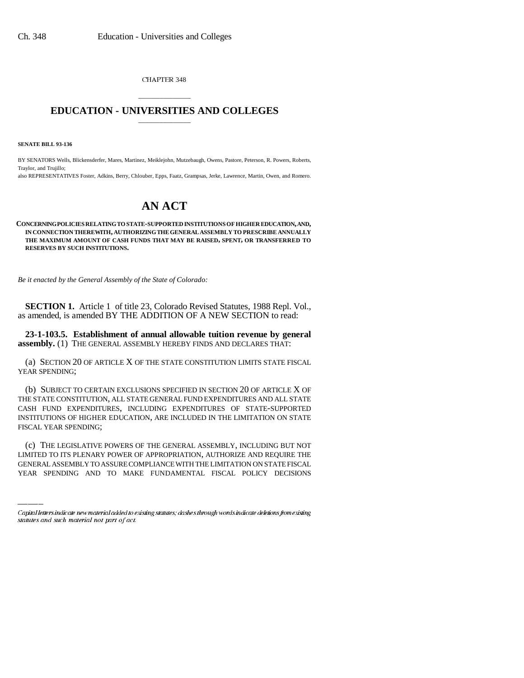CHAPTER 348

## \_\_\_\_\_\_\_\_\_\_\_\_\_\_\_ **EDUCATION - UNIVERSITIES AND COLLEGES** \_\_\_\_\_\_\_\_\_\_\_\_\_\_\_

**SENATE BILL 93-136**

BY SENATORS Wells, Blickensderfer, Mares, Martinez, Meiklejohn, Mutzebaugh, Owens, Pastore, Peterson, R. Powers, Roberts, Traylor, and Trujillo;

also REPRESENTATIVES Foster, Adkins, Berry, Chlouber, Epps, Faatz, Grampsas, Jerke, Lawrence, Martin, Owen, and Romero.

## **AN ACT**

**CONCERNING POLICIES RELATING TO STATE-SUPPORTED INSTITUTIONS OF HIGHER EDUCATION, AND, IN CONNECTION THEREWITH, AUTHORIZING THE GENERAL ASSEMBLY TO PRESCRIBE ANNUALLY THE MAXIMUM AMOUNT OF CASH FUNDS THAT MAY BE RAISED, SPENT, OR TRANSFERRED TO RESERVES BY SUCH INSTITUTIONS.**

*Be it enacted by the General Assembly of the State of Colorado:* 

**SECTION 1.** Article 1 of title 23, Colorado Revised Statutes, 1988 Repl. Vol., as amended, is amended BY THE ADDITION OF A NEW SECTION to read:

**23-1-103.5. Establishment of annual allowable tuition revenue by general assembly.** (1) THE GENERAL ASSEMBLY HEREBY FINDS AND DECLARES THAT:

(a) SECTION 20 OF ARTICLE X OF THE STATE CONSTITUTION LIMITS STATE FISCAL YEAR SPENDING;

(b) SUBJECT TO CERTAIN EXCLUSIONS SPECIFIED IN SECTION 20 OF ARTICLE X OF THE STATE CONSTITUTION, ALL STATE GENERAL FUND EXPENDITURES AND ALL STATE CASH FUND EXPENDITURES, INCLUDING EXPENDITURES OF STATE-SUPPORTED INSTITUTIONS OF HIGHER EDUCATION, ARE INCLUDED IN THE LIMITATION ON STATE FISCAL YEAR SPENDING;

(c) THE LEGISLATIVE POWERS OF THE GENERAL ASSEMBLY, INCLUDING BUT NOT LIMITED TO ITS PLENARY POWER OF APPROPRIATION, AUTHORIZE AND REQUIRE THE GENERAL ASSEMBLY TO ASSURE COMPLIANCE WITH THE LIMITATION ON STATE FISCAL YEAR SPENDING AND TO MAKE FUNDAMENTAL FISCAL POLICY DECISIONS

Capital letters indicate new material added to existing statutes; dashes through words indicate deletions from existing statutes and such material not part of act.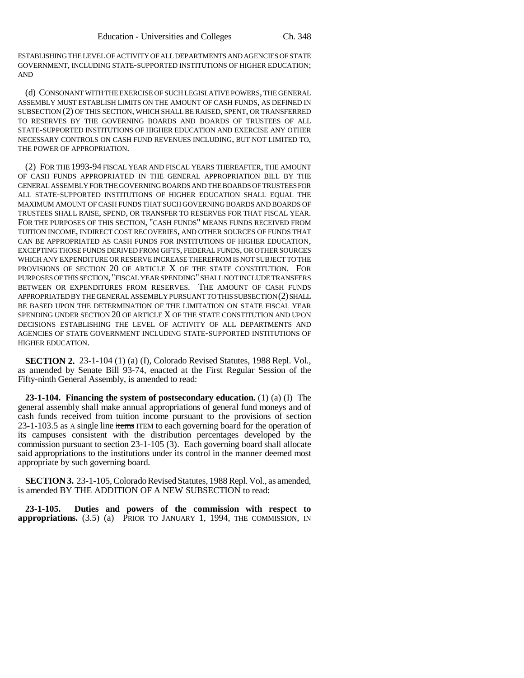ESTABLISHING THE LEVEL OF ACTIVITY OF ALL DEPARTMENTS AND AGENCIES OF STATE GOVERNMENT, INCLUDING STATE-SUPPORTED INSTITUTIONS OF HIGHER EDUCATION; AND

(d) CONSONANT WITH THE EXERCISE OF SUCH LEGISLATIVE POWERS, THE GENERAL ASSEMBLY MUST ESTABLISH LIMITS ON THE AMOUNT OF CASH FUNDS, AS DEFINED IN SUBSECTION (2) OF THIS SECTION, WHICH SHALL BE RAISED, SPENT, OR TRANSFERRED TO RESERVES BY THE GOVERNING BOARDS AND BOARDS OF TRUSTEES OF ALL STATE-SUPPORTED INSTITUTIONS OF HIGHER EDUCATION AND EXERCISE ANY OTHER NECESSARY CONTROLS ON CASH FUND REVENUES INCLUDING, BUT NOT LIMITED TO, THE POWER OF APPROPRIATION.

(2) FOR THE 1993-94 FISCAL YEAR AND FISCAL YEARS THEREAFTER, THE AMOUNT OF CASH FUNDS APPROPRIATED IN THE GENERAL APPROPRIATION BILL BY THE GENERAL ASSEMBLY FOR THE GOVERNING BOARDS AND THE BOARDS OF TRUSTEES FOR ALL STATE-SUPPORTED INSTITUTIONS OF HIGHER EDUCATION SHALL EQUAL THE MAXIMUM AMOUNT OF CASH FUNDS THAT SUCH GOVERNING BOARDS AND BOARDS OF TRUSTEES SHALL RAISE, SPEND, OR TRANSFER TO RESERVES FOR THAT FISCAL YEAR. FOR THE PURPOSES OF THIS SECTION, "CASH FUNDS" MEANS FUNDS RECEIVED FROM TUITION INCOME, INDIRECT COST RECOVERIES, AND OTHER SOURCES OF FUNDS THAT CAN BE APPROPRIATED AS CASH FUNDS FOR INSTITUTIONS OF HIGHER EDUCATION, EXCEPTING THOSE FUNDS DERIVED FROM GIFTS, FEDERAL FUNDS, OR OTHER SOURCES WHICH ANY EXPENDITURE OR RESERVE INCREASE THEREFROM IS NOT SUBJECT TO THE PROVISIONS OF SECTION 20 OF ARTICLE X OF THE STATE CONSTITUTION. FOR PURPOSES OF THIS SECTION, "FISCAL YEAR SPENDING" SHALL NOT INCLUDE TRANSFERS BETWEEN OR EXPENDITURES FROM RESERVES. THE AMOUNT OF CASH FUNDS APPROPRIATED BY THE GENERAL ASSEMBLY PURSUANT TO THIS SUBSECTION (2) SHALL BE BASED UPON THE DETERMINATION OF THE LIMITATION ON STATE FISCAL YEAR SPENDING UNDER SECTION 20 OF ARTICLE X OF THE STATE CONSTITUTION AND UPON DECISIONS ESTABLISHING THE LEVEL OF ACTIVITY OF ALL DEPARTMENTS AND AGENCIES OF STATE GOVERNMENT INCLUDING STATE-SUPPORTED INSTITUTIONS OF HIGHER EDUCATION.

**SECTION 2.** 23-1-104 (1) (a) (I), Colorado Revised Statutes, 1988 Repl. Vol., as amended by Senate Bill 93-74, enacted at the First Regular Session of the Fifty-ninth General Assembly, is amended to read:

**23-1-104. Financing the system of postsecondary education.** (1) (a) (I) The general assembly shall make annual appropriations of general fund moneys and of cash funds received from tuition income pursuant to the provisions of section 23-1-103.5 as A single line items ITEM to each governing board for the operation of its campuses consistent with the distribution percentages developed by the commission pursuant to section 23-1-105 (3). Each governing board shall allocate said appropriations to the institutions under its control in the manner deemed most appropriate by such governing board.

**SECTION 3.** 23-1-105, Colorado Revised Statutes, 1988 Repl. Vol., as amended, is amended BY THE ADDITION OF A NEW SUBSECTION to read:

**23-1-105. Duties and powers of the commission with respect to appropriations.** (3.5) (a) PRIOR TO JANUARY 1, 1994, THE COMMISSION, IN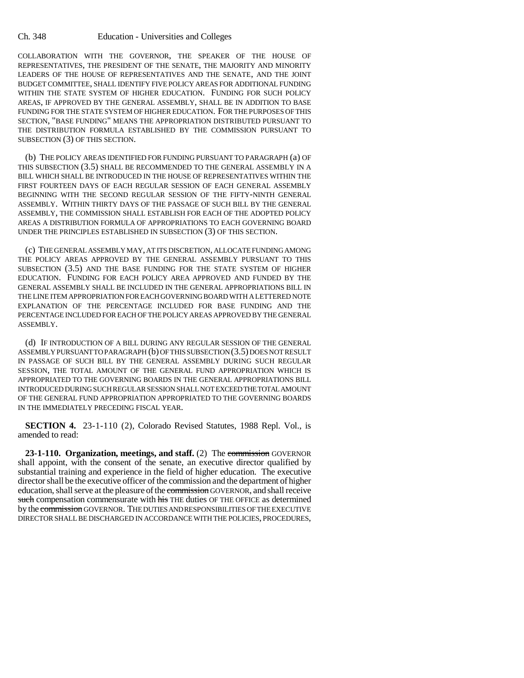COLLABORATION WITH THE GOVERNOR, THE SPEAKER OF THE HOUSE OF REPRESENTATIVES, THE PRESIDENT OF THE SENATE, THE MAJORITY AND MINORITY LEADERS OF THE HOUSE OF REPRESENTATIVES AND THE SENATE, AND THE JOINT BUDGET COMMITTEE, SHALL IDENTIFY FIVE POLICY AREAS FOR ADDITIONAL FUNDING WITHIN THE STATE SYSTEM OF HIGHER EDUCATION. FUNDING FOR SUCH POLICY AREAS, IF APPROVED BY THE GENERAL ASSEMBLY, SHALL BE IN ADDITION TO BASE FUNDING FOR THE STATE SYSTEM OF HIGHER EDUCATION. FOR THE PURPOSES OF THIS SECTION, "BASE FUNDING" MEANS THE APPROPRIATION DISTRIBUTED PURSUANT TO THE DISTRIBUTION FORMULA ESTABLISHED BY THE COMMISSION PURSUANT TO SUBSECTION (3) OF THIS SECTION.

(b) THE POLICY AREAS IDENTIFIED FOR FUNDING PURSUANT TO PARAGRAPH (a) OF THIS SUBSECTION (3.5) SHALL BE RECOMMENDED TO THE GENERAL ASSEMBLY IN A BILL WHICH SHALL BE INTRODUCED IN THE HOUSE OF REPRESENTATIVES WITHIN THE FIRST FOURTEEN DAYS OF EACH REGULAR SESSION OF EACH GENERAL ASSEMBLY BEGINNING WITH THE SECOND REGULAR SESSION OF THE FIFTY-NINTH GENERAL ASSEMBLY. WITHIN THIRTY DAYS OF THE PASSAGE OF SUCH BILL BY THE GENERAL ASSEMBLY, THE COMMISSION SHALL ESTABLISH FOR EACH OF THE ADOPTED POLICY AREAS A DISTRIBUTION FORMULA OF APPROPRIATIONS TO EACH GOVERNING BOARD UNDER THE PRINCIPLES ESTABLISHED IN SUBSECTION (3) OF THIS SECTION.

(c) THE GENERAL ASSEMBLY MAY, AT ITS DISCRETION, ALLOCATE FUNDING AMONG THE POLICY AREAS APPROVED BY THE GENERAL ASSEMBLY PURSUANT TO THIS SUBSECTION (3.5) AND THE BASE FUNDING FOR THE STATE SYSTEM OF HIGHER EDUCATION. FUNDING FOR EACH POLICY AREA APPROVED AND FUNDED BY THE GENERAL ASSEMBLY SHALL BE INCLUDED IN THE GENERAL APPROPRIATIONS BILL IN THE LINE ITEM APPROPRIATION FOR EACH GOVERNING BOARD WITH A LETTERED NOTE EXPLANATION OF THE PERCENTAGE INCLUDED FOR BASE FUNDING AND THE PERCENTAGE INCLUDED FOR EACH OF THE POLICY AREAS APPROVED BY THE GENERAL ASSEMBLY.

(d) IF INTRODUCTION OF A BILL DURING ANY REGULAR SESSION OF THE GENERAL ASSEMBLY PURSUANT TO PARAGRAPH (b) OF THIS SUBSECTION (3.5) DOES NOT RESULT IN PASSAGE OF SUCH BILL BY THE GENERAL ASSEMBLY DURING SUCH REGULAR SESSION, THE TOTAL AMOUNT OF THE GENERAL FUND APPROPRIATION WHICH IS APPROPRIATED TO THE GOVERNING BOARDS IN THE GENERAL APPROPRIATIONS BILL INTRODUCED DURING SUCH REGULAR SESSION SHALL NOT EXCEED THE TOTAL AMOUNT OF THE GENERAL FUND APPROPRIATION APPROPRIATED TO THE GOVERNING BOARDS IN THE IMMEDIATELY PRECEDING FISCAL YEAR.

**SECTION 4.** 23-1-110 (2), Colorado Revised Statutes, 1988 Repl. Vol., is amended to read:

**23-1-110. Organization, meetings, and staff.** (2) The commission GOVERNOR shall appoint, with the consent of the senate, an executive director qualified by substantial training and experience in the field of higher education. The executive director shall be the executive officer of the commission and the department of higher education, shall serve at the pleasure of the commission GOVERNOR, and shall receive such compensation commensurate with his THE duties OF THE OFFICE as determined by the commission GOVERNOR. THE DUTIES AND RESPONSIBILITIES OF THE EXECUTIVE DIRECTOR SHALL BE DISCHARGED IN ACCORDANCE WITH THE POLICIES, PROCEDURES,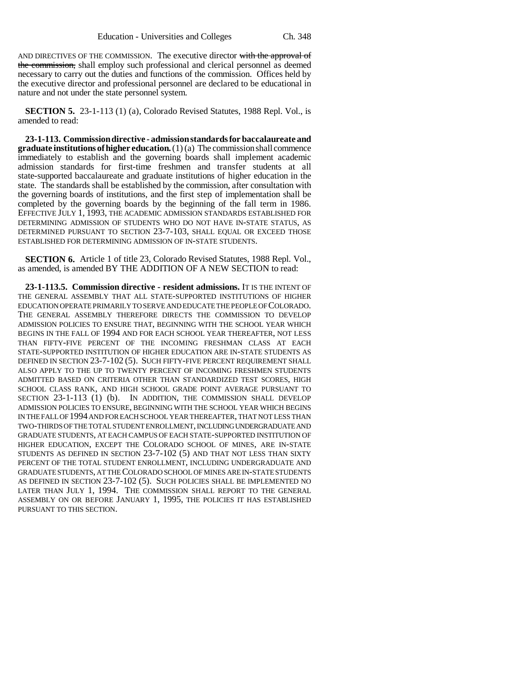AND DIRECTIVES OF THE COMMISSION. The executive director with the approval of the commission, shall employ such professional and clerical personnel as deemed necessary to carry out the duties and functions of the commission. Offices held by the executive director and professional personnel are declared to be educational in nature and not under the state personnel system.

**SECTION 5.** 23-1-113 (1) (a), Colorado Revised Statutes, 1988 Repl. Vol., is amended to read:

**23-1-113. Commission directive - admission standards for baccalaureate and graduate institutions of higher education.** (1) (a) The commission shall commence immediately to establish and the governing boards shall implement academic admission standards for first-time freshmen and transfer students at all state-supported baccalaureate and graduate institutions of higher education in the state. The standards shall be established by the commission, after consultation with the governing boards of institutions, and the first step of implementation shall be completed by the governing boards by the beginning of the fall term in 1986. EFFECTIVE JULY 1, 1993, THE ACADEMIC ADMISSION STANDARDS ESTABLISHED FOR DETERMINING ADMISSION OF STUDENTS WHO DO NOT HAVE IN-STATE STATUS, AS DETERMINED PURSUANT TO SECTION 23-7-103, SHALL EQUAL OR EXCEED THOSE ESTABLISHED FOR DETERMINING ADMISSION OF IN-STATE STUDENTS.

**SECTION 6.** Article 1 of title 23, Colorado Revised Statutes, 1988 Repl. Vol., as amended, is amended BY THE ADDITION OF A NEW SECTION to read:

**23-1-113.5. Commission directive - resident admissions.** IT IS THE INTENT OF THE GENERAL ASSEMBLY THAT ALL STATE-SUPPORTED INSTITUTIONS OF HIGHER EDUCATION OPERATE PRIMARILY TO SERVE AND EDUCATE THE PEOPLE OF COLORADO. THE GENERAL ASSEMBLY THEREFORE DIRECTS THE COMMISSION TO DEVELOP ADMISSION POLICIES TO ENSURE THAT, BEGINNING WITH THE SCHOOL YEAR WHICH BEGINS IN THE FALL OF 1994 AND FOR EACH SCHOOL YEAR THEREAFTER, NOT LESS THAN FIFTY-FIVE PERCENT OF THE INCOMING FRESHMAN CLASS AT EACH STATE-SUPPORTED INSTITUTION OF HIGHER EDUCATION ARE IN-STATE STUDENTS AS DEFINED IN SECTION 23-7-102 (5). SUCH FIFTY-FIVE PERCENT REQUIREMENT SHALL ALSO APPLY TO THE UP TO TWENTY PERCENT OF INCOMING FRESHMEN STUDENTS ADMITTED BASED ON CRITERIA OTHER THAN STANDARDIZED TEST SCORES, HIGH SCHOOL CLASS RANK, AND HIGH SCHOOL GRADE POINT AVERAGE PURSUANT TO SECTION 23-1-113 (1) (b). IN ADDITION, THE COMMISSION SHALL DEVELOP ADMISSION POLICIES TO ENSURE, BEGINNING WITH THE SCHOOL YEAR WHICH BEGINS IN THE FALL OF 1994 AND FOR EACH SCHOOL YEAR THEREAFTER, THAT NOT LESS THAN TWO-THIRDS OF THE TOTAL STUDENT ENROLLMENT, INCLUDING UNDERGRADUATE AND GRADUATE STUDENTS, AT EACH CAMPUS OF EACH STATE-SUPPORTED INSTITUTION OF HIGHER EDUCATION, EXCEPT THE COLORADO SCHOOL OF MINES, ARE IN-STATE STUDENTS AS DEFINED IN SECTION 23-7-102 (5) AND THAT NOT LESS THAN SIXTY PERCENT OF THE TOTAL STUDENT ENROLLMENT, INCLUDING UNDERGRADUATE AND GRADUATE STUDENTS, AT THE COLORADO SCHOOL OF MINES ARE IN-STATE STUDENTS AS DEFINED IN SECTION 23-7-102 (5). SUCH POLICIES SHALL BE IMPLEMENTED NO LATER THAN JULY 1, 1994. THE COMMISSION SHALL REPORT TO THE GENERAL ASSEMBLY ON OR BEFORE JANUARY 1, 1995, THE POLICIES IT HAS ESTABLISHED PURSUANT TO THIS SECTION.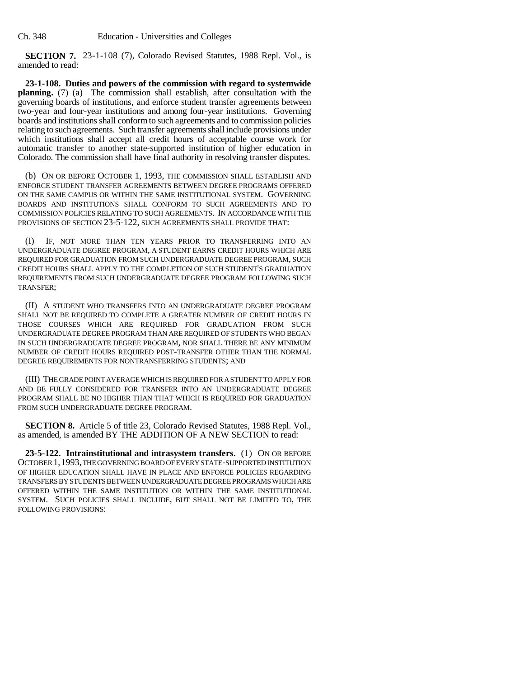**SECTION 7.** 23-1-108 (7), Colorado Revised Statutes, 1988 Repl. Vol., is amended to read:

**23-1-108. Duties and powers of the commission with regard to systemwide planning.** (7) (a) The commission shall establish, after consultation with the governing boards of institutions, and enforce student transfer agreements between two-year and four-year institutions and among four-year institutions. Governing boards and institutions shall conform to such agreements and to commission policies relating to such agreements. Such transfer agreements shall include provisions under which institutions shall accept all credit hours of acceptable course work for automatic transfer to another state-supported institution of higher education in Colorado. The commission shall have final authority in resolving transfer disputes.

(b) ON OR BEFORE OCTOBER 1, 1993, THE COMMISSION SHALL ESTABLISH AND ENFORCE STUDENT TRANSFER AGREEMENTS BETWEEN DEGREE PROGRAMS OFFERED ON THE SAME CAMPUS OR WITHIN THE SAME INSTITUTIONAL SYSTEM. GOVERNING BOARDS AND INSTITUTIONS SHALL CONFORM TO SUCH AGREEMENTS AND TO COMMISSION POLICIES RELATING TO SUCH AGREEMENTS. IN ACCORDANCE WITH THE PROVISIONS OF SECTION 23-5-122, SUCH AGREEMENTS SHALL PROVIDE THAT:

(I) IF, NOT MORE THAN TEN YEARS PRIOR TO TRANSFERRING INTO AN UNDERGRADUATE DEGREE PROGRAM, A STUDENT EARNS CREDIT HOURS WHICH ARE REQUIRED FOR GRADUATION FROM SUCH UNDERGRADUATE DEGREE PROGRAM, SUCH CREDIT HOURS SHALL APPLY TO THE COMPLETION OF SUCH STUDENT'S GRADUATION REQUIREMENTS FROM SUCH UNDERGRADUATE DEGREE PROGRAM FOLLOWING SUCH TRANSFER;

(II) A STUDENT WHO TRANSFERS INTO AN UNDERGRADUATE DEGREE PROGRAM SHALL NOT BE REQUIRED TO COMPLETE A GREATER NUMBER OF CREDIT HOURS IN THOSE COURSES WHICH ARE REQUIRED FOR GRADUATION FROM SUCH UNDERGRADUATE DEGREE PROGRAM THAN ARE REQUIRED OF STUDENTS WHO BEGAN IN SUCH UNDERGRADUATE DEGREE PROGRAM, NOR SHALL THERE BE ANY MINIMUM NUMBER OF CREDIT HOURS REQUIRED POST-TRANSFER OTHER THAN THE NORMAL DEGREE REQUIREMENTS FOR NONTRANSFERRING STUDENTS; AND

(III) THE GRADE POINT AVERAGE WHICH IS REQUIRED FOR A STUDENT TO APPLY FOR AND BE FULLY CONSIDERED FOR TRANSFER INTO AN UNDERGRADUATE DEGREE PROGRAM SHALL BE NO HIGHER THAN THAT WHICH IS REQUIRED FOR GRADUATION FROM SUCH UNDERGRADUATE DEGREE PROGRAM.

**SECTION 8.** Article 5 of title 23, Colorado Revised Statutes, 1988 Repl. Vol., as amended, is amended BY THE ADDITION OF A NEW SECTION to read:

**23-5-122. Intrainstitutional and intrasystem transfers.** (1) ON OR BEFORE OCTOBER 1,1993, THE GOVERNING BOARD OF EVERY STATE-SUPPORTED INSTITUTION OF HIGHER EDUCATION SHALL HAVE IN PLACE AND ENFORCE POLICIES REGARDING TRANSFERS BY STUDENTS BETWEEN UNDERGRADUATE DEGREE PROGRAMS WHICH ARE OFFERED WITHIN THE SAME INSTITUTION OR WITHIN THE SAME INSTITUTIONAL SYSTEM. SUCH POLICIES SHALL INCLUDE, BUT SHALL NOT BE LIMITED TO, THE FOLLOWING PROVISIONS: